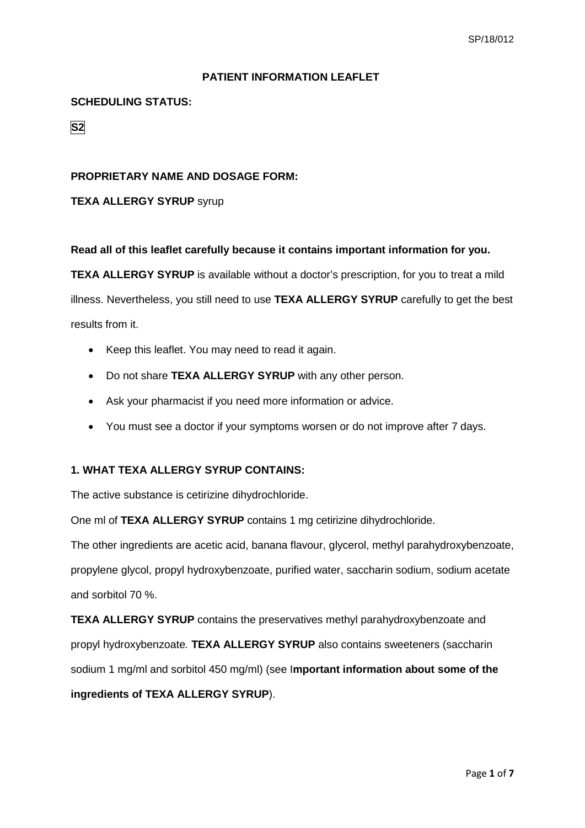### **PATIENT INFORMATION LEAFLET**

## **SCHEDULING STATUS:**

**S2**

### **PROPRIETARY NAME AND DOSAGE FORM:**

## **TEXA ALLERGY SYRUP** syrup

#### **Read all of this leaflet carefully because it contains important information for you.**

**TEXA ALLERGY SYRUP** is available without a doctor's prescription, for you to treat a mild illness. Nevertheless, you still need to use **TEXA ALLERGY SYRUP** carefully to get the best results from it.

- Keep this leaflet. You may need to read it again.
- Do not share **TEXA ALLERGY SYRUP** with any other person.
- Ask your pharmacist if you need more information or advice.
- You must see a doctor if your symptoms worsen or do not improve after 7 days.

# **1. WHAT TEXA ALLERGY SYRUP CONTAINS:**

The active substance is cetirizine dihydrochloride.

One ml of **TEXA ALLERGY SYRUP** contains 1 mg cetirizine dihydrochloride.

The other ingredients are acetic acid, banana flavour, glycerol, methyl parahydroxybenzoate, propylene glycol, propyl hydroxybenzoate, purified water, saccharin sodium, sodium acetate and sorbitol 70 %.

**TEXA ALLERGY SYRUP** contains the preservatives methyl parahydroxybenzoate and propyl hydroxybenzoate*.* **TEXA ALLERGY SYRUP** also contains sweeteners (saccharin sodium 1 mg/ml and sorbitol 450 mg/ml) (see I**mportant information about some of the ingredients of TEXA ALLERGY SYRUP**).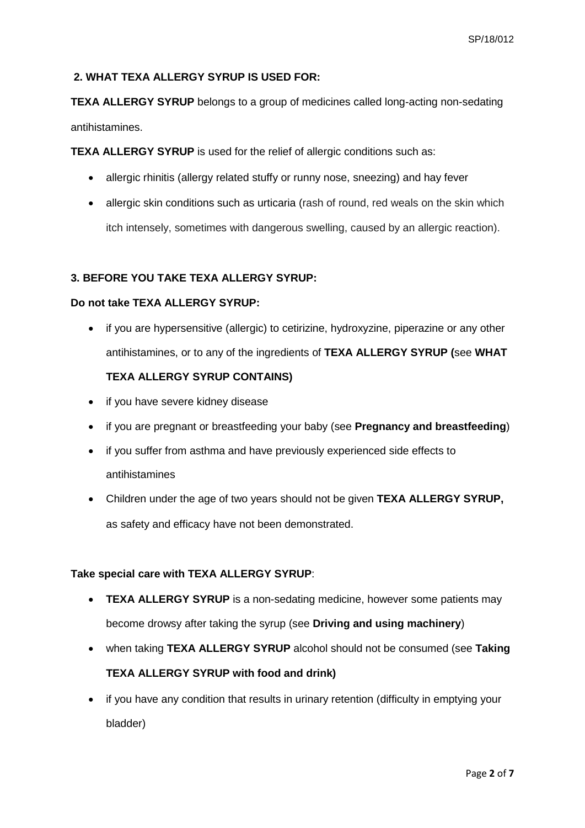## **2. WHAT TEXA ALLERGY SYRUP IS USED FOR:**

**TEXA ALLERGY SYRUP** belongs to a group of medicines called long-acting non-sedating antihistamines.

**TEXA ALLERGY SYRUP** is used for the relief of allergic conditions such as:

- allergic rhinitis (allergy related stuffy or runny nose, sneezing) and hay fever
- allergic skin conditions such as urticaria (rash of round, red weals on the skin which itch intensely, sometimes with dangerous swelling, caused by an allergic reaction).

## **3. BEFORE YOU TAKE TEXA ALLERGY SYRUP:**

### **Do not take TEXA ALLERGY SYRUP:**

• if you are hypersensitive (allergic) to cetirizine, hydroxyzine, piperazine or any other antihistamines, or to any of the ingredients of **TEXA ALLERGY SYRUP (**see **WHAT** 

### **TEXA ALLERGY SYRUP CONTAINS)**

- if you have severe kidney disease
- if you are pregnant or breastfeeding your baby (see **Pregnancy and breastfeeding**)
- if you suffer from asthma and have previously experienced side effects to antihistamines
- Children under the age of two years should not be given **TEXA ALLERGY SYRUP,** as safety and efficacy have not been demonstrated.

### **Take special care with TEXA ALLERGY SYRUP**:

- **TEXA ALLERGY SYRUP** is a non-sedating medicine, however some patients may become drowsy after taking the syrup (see **Driving and using machinery**)
- when taking **TEXA ALLERGY SYRUP** alcohol should not be consumed (see **Taking TEXA ALLERGY SYRUP with food and drink)**
- if you have any condition that results in urinary retention (difficulty in emptying your bladder)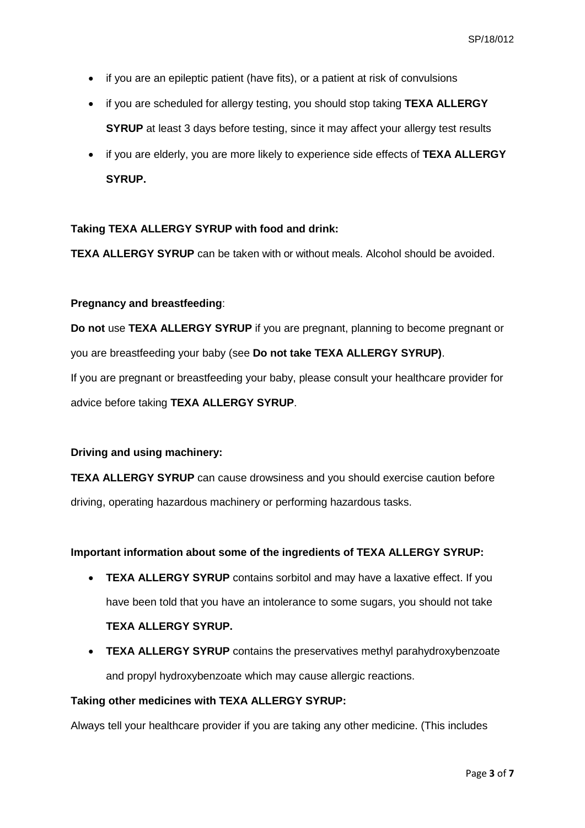- if you are an epileptic patient (have fits), or a patient at risk of convulsions
- if you are scheduled for allergy testing, you should stop taking **TEXA ALLERGY SYRUP** at least 3 days before testing, since it may affect your allergy test results
- if you are elderly, you are more likely to experience side effects of **TEXA ALLERGY SYRUP.**

#### **Taking TEXA ALLERGY SYRUP with food and drink:**

**TEXA ALLERGY SYRUP** can be taken with or without meals. Alcohol should be avoided.

#### **Pregnancy and breastfeeding**:

**Do not** use **TEXA ALLERGY SYRUP** if you are pregnant, planning to become pregnant or you are breastfeeding your baby (see **Do not take TEXA ALLERGY SYRUP)**. If you are pregnant or breastfeeding your baby, please consult your healthcare provider for advice before taking **TEXA ALLERGY SYRUP**.

## **Driving and using machinery:**

**TEXA ALLERGY SYRUP** can cause drowsiness and you should exercise caution before driving, operating hazardous machinery or performing hazardous tasks.

#### **Important information about some of the ingredients of TEXA ALLERGY SYRUP:**

- **TEXA ALLERGY SYRUP** contains sorbitol and may have a laxative effect. If you have been told that you have an intolerance to some sugars, you should not take **TEXA ALLERGY SYRUP.**
- **TEXA ALLERGY SYRUP** contains the preservatives methyl parahydroxybenzoate and propyl hydroxybenzoate which may cause allergic reactions.

# **Taking other medicines with TEXA ALLERGY SYRUP:**

Always tell your healthcare provider if you are taking any other medicine. (This includes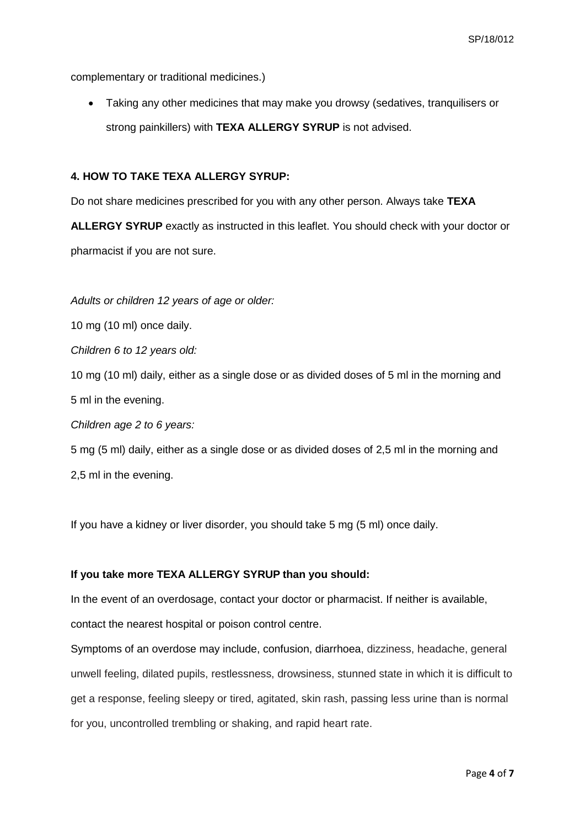complementary or traditional medicines.)

• Taking any other medicines that may make you drowsy (sedatives, tranquilisers or strong painkillers) with **TEXA ALLERGY SYRUP** is not advised.

### **4. HOW TO TAKE TEXA ALLERGY SYRUP:**

Do not share medicines prescribed for you with any other person. Always take **TEXA** 

**ALLERGY SYRUP** exactly as instructed in this leaflet. You should check with your doctor or pharmacist if you are not sure.

*Adults or children 12 years of age or older:*

10 mg (10 ml) once daily.

*Children 6 to 12 years old:*

10 mg (10 ml) daily, either as a single dose or as divided doses of 5 ml in the morning and 5 ml in the evening.

*Children age 2 to 6 years:*

5 mg (5 ml) daily, either as a single dose or as divided doses of 2,5 ml in the morning and 2,5 ml in the evening.

If you have a kidney or liver disorder, you should take 5 mg (5 ml) once daily.

#### **If you take more TEXA ALLERGY SYRUP than you should:**

In the event of an overdosage, contact your doctor or pharmacist. If neither is available,

contact the nearest hospital or poison control centre.

Symptoms of an overdose may include, confusion, diarrhoea, dizziness, headache, general unwell feeling, dilated pupils, restlessness, drowsiness, stunned state in which it is difficult to get a response, feeling sleepy or tired, agitated, skin rash, passing less urine than is normal for you, uncontrolled trembling or shaking, and rapid heart rate.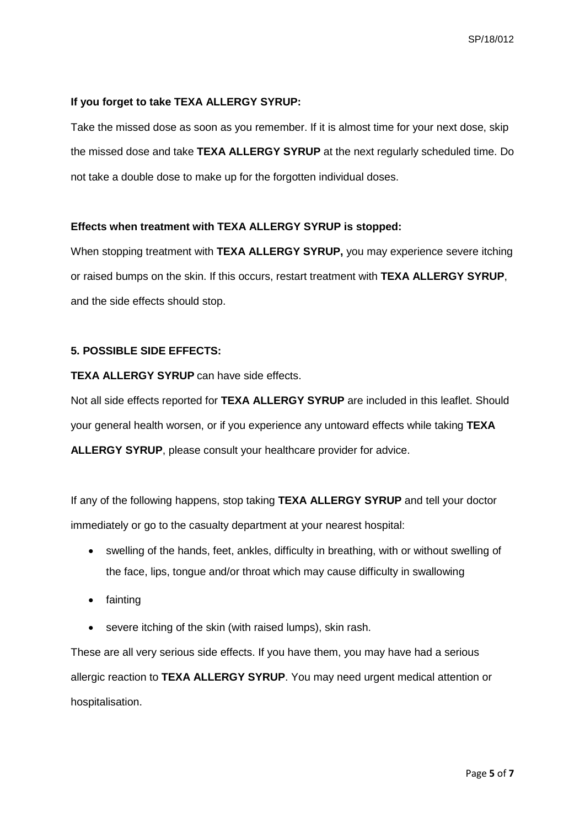## **If you forget to take TEXA ALLERGY SYRUP:**

Take the missed dose as soon as you remember. If it is almost time for your next dose, skip the missed dose and take **TEXA ALLERGY SYRUP** at the next regularly scheduled time. Do not take a double dose to make up for the forgotten individual doses.

## **Effects when treatment with TEXA ALLERGY SYRUP is stopped:**

When stopping treatment with **TEXA ALLERGY SYRUP,** you may experience severe itching or raised bumps on the skin. If this occurs, restart treatment with **TEXA ALLERGY SYRUP**, and the side effects should stop.

## **5. POSSIBLE SIDE EFFECTS:**

## **TEXA ALLERGY SYRUP** can have side effects.

Not all side effects reported for **TEXA ALLERGY SYRUP** are included in this leaflet. Should your general health worsen, or if you experience any untoward effects while taking **TEXA ALLERGY SYRUP**, please consult your healthcare provider for advice.

If any of the following happens, stop taking **TEXA ALLERGY SYRUP** and tell your doctor immediately or go to the casualty department at your nearest hospital:

- swelling of the hands, feet, ankles, difficulty in breathing, with or without swelling of the face, lips, tongue and/or throat which may cause difficulty in swallowing
- fainting
- severe itching of the skin (with raised lumps), skin rash.

These are all very serious side effects. If you have them, you may have had a serious allergic reaction to **TEXA ALLERGY SYRUP**. You may need urgent medical attention or hospitalisation.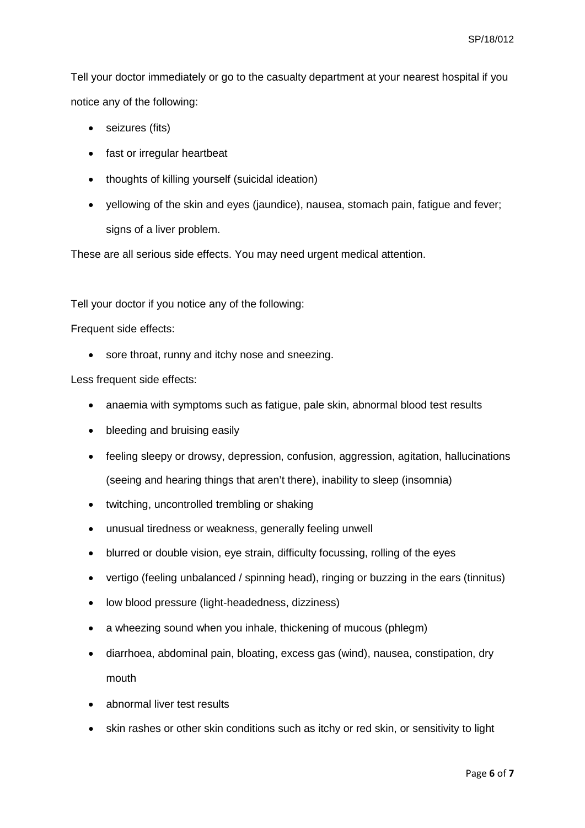Tell your doctor immediately or go to the casualty department at your nearest hospital if you notice any of the following:

- seizures (fits)
- fast or irregular heartbeat
- thoughts of killing yourself (suicidal ideation)
- yellowing of the skin and eyes (jaundice), nausea, stomach pain, fatigue and fever; signs of a liver problem.

These are all serious side effects. You may need urgent medical attention.

Tell your doctor if you notice any of the following:

Frequent side effects:

• sore throat, runny and itchy nose and sneezing.

Less frequent side effects:

- anaemia with symptoms such as fatigue, pale skin, abnormal blood test results
- bleeding and bruising easily
- feeling sleepy or drowsy, depression, confusion, aggression, agitation, hallucinations (seeing and hearing things that aren't there), inability to sleep (insomnia)
- twitching, uncontrolled trembling or shaking
- unusual tiredness or weakness, generally feeling unwell
- blurred or double vision, eye strain, difficulty focussing, rolling of the eyes
- vertigo (feeling unbalanced / spinning head), ringing or buzzing in the ears (tinnitus)
- low blood pressure (light-headedness, dizziness)
- a wheezing sound when you inhale, thickening of mucous (phlegm)
- diarrhoea, abdominal pain, bloating, excess gas (wind), nausea, constipation, dry mouth
- abnormal liver test results
- skin rashes or other skin conditions such as itchy or red skin, or sensitivity to light